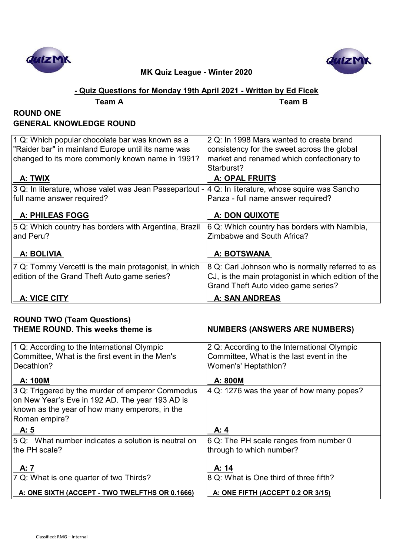



## **- Quiz Questions for Monday 19th April 2021 - Written by Ed Ficek**

**Team A Team B**

## **ROUND ONE GENERAL KNOWLEDGE ROUND**

| 1 Q: Which popular chocolate bar was known as a         | 2 Q: In 1998 Mars wanted to create brand            |
|---------------------------------------------------------|-----------------------------------------------------|
| "Raider bar" in mainland Europe until its name was      | consistency for the sweet across the global         |
| changed to its more commonly known name in 1991?        | market and renamed which confectionary to           |
|                                                         | Starburst?                                          |
| A: TWIX                                                 | <b>A: OPAL FRUITS</b>                               |
| 3 Q: In literature, whose valet was Jean Passepartout - | 4 Q: In literature, whose squire was Sancho         |
| full name answer required?                              | Panza - full name answer required?                  |
|                                                         |                                                     |
| <b>A: PHILEAS FOGG</b>                                  | A: DON QUIXOTE                                      |
| 5 Q: Which country has borders with Argentina, Brazil   | 6 Q: Which country has borders with Namibia,        |
| land Peru?                                              | Zimbabwe and South Africa?                          |
|                                                         |                                                     |
| A: BOLIVIA                                              | A: BOTSWANA                                         |
| 7 Q: Tommy Vercetti is the main protagonist, in which   | 8 Q: Carl Johnson who is normally referred to as    |
| edition of the Grand Theft Auto game series?            | CJ, is the main protagonist in which edition of the |
|                                                         | Grand Theft Auto video game series?                 |
| A: VICE CITY                                            | <b>A: SAN ANDREAS</b>                               |

# **ROUND TWO (Team Questions)**

**NUMBERS (ANSWERS ARE NUMBERS)** 

| 1 Q: According to the International Olympic<br>Committee, What is the first event in the Men's<br>Decathlon?                                                           | 2 Q: According to the International Olympic<br>Committee, What is the last event in the<br>Women's' Heptathlon? |
|------------------------------------------------------------------------------------------------------------------------------------------------------------------------|-----------------------------------------------------------------------------------------------------------------|
| A: 100M                                                                                                                                                                | A: 800M                                                                                                         |
| 3 Q: Triggered by the murder of emperor Commodus<br>on New Year's Eve in 192 AD. The year 193 AD is<br>known as the year of how many emperors, in the<br>Roman empire? | $ 4 Q: 1276$ was the year of how many popes?                                                                    |
| A: 5                                                                                                                                                                   | A: 4                                                                                                            |
| 5 Q: What number indicates a solution is neutral on                                                                                                                    | 6 Q: The PH scale ranges from number 0                                                                          |
| the PH scale?                                                                                                                                                          | through to which number?                                                                                        |
| A: 7                                                                                                                                                                   | A: 14                                                                                                           |
| 7 Q: What is one quarter of two Thirds?                                                                                                                                | 8 Q: What is One third of three fifth?                                                                          |
| A: ONE SIXTH (ACCEPT - TWO TWELFTHS OR 0.1666)                                                                                                                         | A: ONE FIFTH (ACCEPT 0.2 OR 3/15)                                                                               |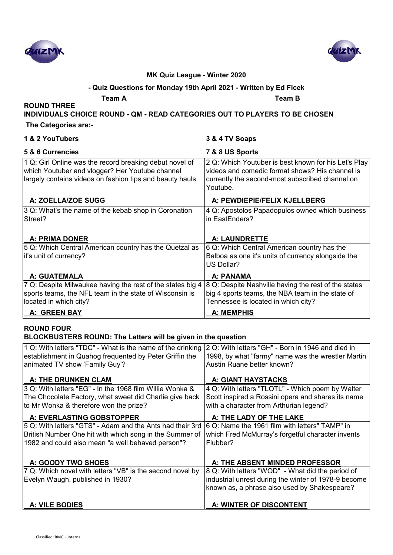



#### **- Quiz Questions for Monday 19th April 2021 - Written by Ed Ficek**

**Team A Team B**

## **INDIVIDUALS CHOICE ROUND - QM - READ CATEGORIES OUT TO PLAYERS TO BE CHOSEN**

#### **The Categories are:-**

**ROUND THREE** 

| 1 & 2 YouTubers                                                                                                                                                         | 3 & 4 TV Soaps                                                                                                                                                         |
|-------------------------------------------------------------------------------------------------------------------------------------------------------------------------|------------------------------------------------------------------------------------------------------------------------------------------------------------------------|
| 5 & 6 Currencies                                                                                                                                                        | 7 & 8 US Sports                                                                                                                                                        |
| 1 Q: Girl Online was the record breaking debut novel of<br>which Youtuber and vlogger? Her Youtube channel<br>largely contains videos on fashion tips and beauty hauls. | 2 Q: Which Youtuber is best known for his Let's Play<br>videos and comedic format shows? His channel is<br>currently the second-most subscribed channel on<br>Youtube. |
| A: ZOELLA/ZOE SUGG                                                                                                                                                      | A: PEWDIEPIE/FELIX KJELLBERG                                                                                                                                           |
| 3 Q: What's the name of the kebab shop in Coronation<br>Street?                                                                                                         | 4 Q: Apostolos Papadopulos owned which business<br>in EastEnders?                                                                                                      |
| <b>A: PRIMA DONER</b>                                                                                                                                                   | <b>A: LAUNDRETTE</b>                                                                                                                                                   |
| 5 Q: Which Central American country has the Quetzal as<br>it's unit of currency?                                                                                        | 6 Q: Which Central American country has the<br>Balboa as one it's units of currency alongside the<br>US Dollar?                                                        |
| A: GUATEMALA                                                                                                                                                            | A: PANAMA                                                                                                                                                              |
| 7 Q: Despite Milwaukee having the rest of the states big 4<br>sports teams, the NFL team in the state of Wisconsin is<br>located in which city?                         | 8 Q: Despite Nashville having the rest of the states<br>big 4 sports teams, the NBA team in the state of<br>Tennessee is located in which city?                        |
| A: GREEN BAY                                                                                                                                                            | <b>A: MEMPHIS</b>                                                                                                                                                      |

#### **ROUND FOUR BLOCKBUSTERS ROUND: The Letters will be given in the question**

| 1 Q: With letters "TDC" - What is the name of the drinking<br>establishment in Quahog frequented by Peter Griffin the                                                     | 2 Q: With letters "GH" - Born in 1946 and died in<br>1998, by what "farmy" name was the wrestler Martin<br>Austin Ruane better known?             |
|---------------------------------------------------------------------------------------------------------------------------------------------------------------------------|---------------------------------------------------------------------------------------------------------------------------------------------------|
| animated TV show 'Family Guy'?<br><b>A: THE DRUNKEN CLAM</b>                                                                                                              | A: GIANT HAYSTACKS                                                                                                                                |
| 3 Q: With letters "EG" - In the 1968 film Willie Wonka &<br>The Chocolate Factory, what sweet did Charlie give back<br>to Mr Wonka & therefore won the prize?             | 4 Q: With letters "TLOTL" - Which poem by Walter<br>Scott inspired a Rossini opera and shares its name<br>with a character from Arthurian legend? |
| A: EVERLASTING GOBSTOPPER                                                                                                                                                 | A: THE LADY OF THE LAKE                                                                                                                           |
| 5 Q: With letters "GTS" - Adam and the Ants had their 3rd<br>British Number One hit with which song in the Summer of<br>1982 and could also mean "a well behaved person"? | 6 Q: Name the 1961 film with letters" TAMP" in<br>which Fred McMurray's forgetful character invents<br>Flubber?                                   |
| A: GOODY TWO SHOES                                                                                                                                                        | A: THE ABSENT MINDED PROFESSOR                                                                                                                    |
| 7 Q: Which novel with letters "VB" is the second novel by                                                                                                                 | 8 Q: With letters "WOD" - What did the period of                                                                                                  |
| Evelyn Waugh, published in 1930?                                                                                                                                          | industrial unrest during the winter of 1978-9 become<br>known as, a phrase also used by Shakespeare?                                              |
| <b>A: VILE BODIES</b>                                                                                                                                                     | A: WINTER OF DISCONTENT                                                                                                                           |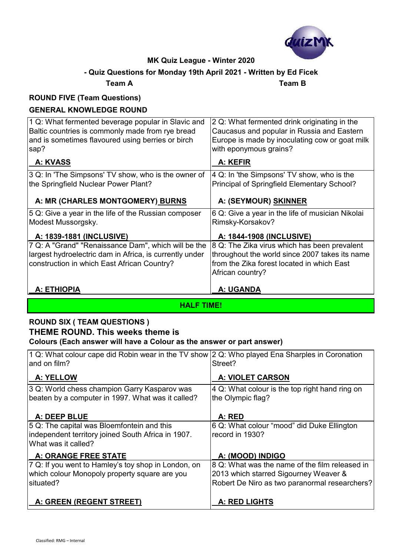

## **- Quiz Questions for Monday 19th April 2021 - Written by Ed Ficek**

**Team A Team B**

## **ROUND FIVE (Team Questions)**

## **GENERAL KNOWLEDGE ROUND**

| 1 Q: What fermented beverage popular in Slavic and<br>Baltic countries is commonly made from rye bread<br>and is sometimes flavoured using berries or birch<br>sap? | 2 Q: What fermented drink originating in the<br>Caucasus and popular in Russia and Eastern<br>Europe is made by inoculating cow or goat milk<br>with eponymous grains? |
|---------------------------------------------------------------------------------------------------------------------------------------------------------------------|------------------------------------------------------------------------------------------------------------------------------------------------------------------------|
| A: KVASS                                                                                                                                                            | A: KEFIR                                                                                                                                                               |
| 3 Q: In 'The Simpsons' TV show, who is the owner of                                                                                                                 | 4 Q: In 'the Simpsons' TV show, who is the                                                                                                                             |
| the Springfield Nuclear Power Plant?                                                                                                                                | Principal of Springfield Elementary School?                                                                                                                            |
| A: MR (CHARLES MONTGOMERY) BURNS                                                                                                                                    | A: (SEYMOUR) SKINNER                                                                                                                                                   |
| 5 Q: Give a year in the life of the Russian composer<br>Modest Mussorgsky.                                                                                          | 6 Q: Give a year in the life of musician Nikolai<br>Rimsky-Korsakov?                                                                                                   |
| A: 1839-1881 (INCLUSIVE)                                                                                                                                            | A: 1844-1908 (INCLUSIVE)                                                                                                                                               |
| 7 Q: A "Grand" "Renaissance Dam", which will be the<br>largest hydroelectric dam in Africa, is currently under<br>construction in which East African Country?       | 8 Q: The Zika virus which has been prevalent<br>throughout the world since 2007 takes its name<br>from the Zika forest located in which East<br>African country?       |
| <b>A: ETHIOPIA</b>                                                                                                                                                  | A: UGANDA                                                                                                                                                              |

**HALF TIME!**

## **ROUND SIX ( TEAM QUESTIONS ) THEME ROUND. This weeks theme is Colours (Each answer will have a Colour as the answer or part answer)**

| 1 Q: What colour cape did Robin wear in the TV show 2 Q: Who played Ena Sharples in Coronation |                                                |
|------------------------------------------------------------------------------------------------|------------------------------------------------|
| and on film?                                                                                   | Street?                                        |
| A: YELLOW                                                                                      | <b>A: VIOLET CARSON</b>                        |
| 3 Q: World chess champion Garry Kasparov was                                                   | 4 Q: What colour is the top right hand ring on |
| beaten by a computer in 1997. What was it called?                                              | the Olympic flag?                              |
|                                                                                                |                                                |
| A: DEEP BLUE                                                                                   | A: RED                                         |
| 5 Q: The capital was Bloemfontein and this                                                     | 6 Q: What colour "mood" did Duke Ellington     |
| independent territory joined South Africa in 1907.                                             | record in 1930?                                |
| What was it called?                                                                            |                                                |
| <b>A: ORANGE FREE STATE</b>                                                                    | A: (MOOD) INDIGO                               |
| 7 Q: If you went to Hamley's toy shop in London, on                                            | 8 Q: What was the name of the film released in |
| which colour Monopoly property square are you                                                  | 2013 which starred Sigourney Weaver &          |
| situated?                                                                                      | Robert De Niro as two paranormal researchers?  |
|                                                                                                |                                                |
| A: GREEN (REGENT STREET)                                                                       | <b>A: RED LIGHTS</b>                           |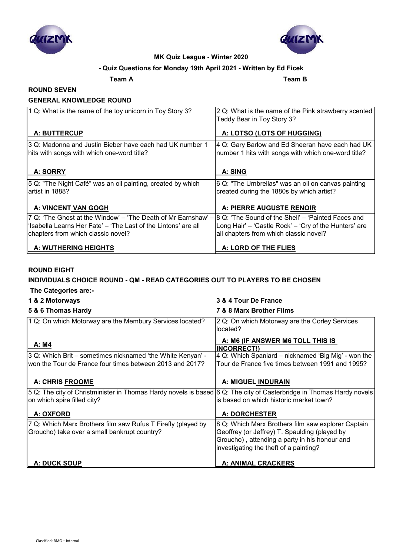



#### **- Quiz Questions for Monday 19th April 2021 - Written by Ed Ficek**

**Team A Team B**

#### **ROUND SEVEN**

#### **GENERAL KNOWLEDGE ROUND**

| 1 Q: What is the name of the toy unicorn in Toy Story 3?                                               | 2 Q: What is the name of the Pink strawberry scented<br>Teddy Bear in Toy Story 3?                      |
|--------------------------------------------------------------------------------------------------------|---------------------------------------------------------------------------------------------------------|
| A: BUTTERCUP                                                                                           | A: LOTSO (LOTS OF HUGGING)                                                                              |
| 3 Q: Madonna and Justin Bieber have each had UK number 1<br>hits with songs with which one-word title? | 4 Q: Gary Barlow and Ed Sheeran have each had UK<br>number 1 hits with songs with which one-word title? |
| A: SORRY                                                                                               | A: SING                                                                                                 |
| 5 Q: "The Night Café" was an oil painting, created by which<br>artist in 1888?                         | 6 Q: "The Umbrellas" was an oil on canvas painting<br>created during the 1880s by which artist?         |
| A: VINCENT VAN GOGH                                                                                    | A: PIERRE AUGUSTE RENOIR                                                                                |
| 7 Q: 'The Ghost at the Window' - 'The Death of Mr Earnshaw' -                                          | 18 Q: 'The Sound of the Shell' – 'Painted Faces and                                                     |
| 'Isabella Learns Her Fate' – 'The Last of the Lintons' are all                                         | Long Hair' - 'Castle Rock' - 'Cry of the Hunters' are                                                   |
| chapters from which classic novel?                                                                     | all chapters from which classic novel?                                                                  |
| A: WUTHERING HEIGHTS                                                                                   | A: LORD OF THE FLIES                                                                                    |

#### **ROUND EIGHT**

#### **INDIVIDUALS CHOICE ROUND - QM - READ CATEGORIES OUT TO PLAYERS TO BE CHOSEN**

 **The Categories are:-**

| 1 & 2 Motorways                                                                                                      | 3 & 4 Tour De France                                       |
|----------------------------------------------------------------------------------------------------------------------|------------------------------------------------------------|
| 5 & 6 Thomas Hardy                                                                                                   | 7 & 8 Marx Brother Films                                   |
| 1 Q: On which Motorway are the Membury Services located?                                                             | 2 Q: On which Motorway are the Corley Services<br>located? |
|                                                                                                                      | A: M6 (IF ANSWER M6 TOLL THIS IS                           |
| A: M4                                                                                                                | <b>INCORRECT!)</b>                                         |
| 3 Q: Which Brit – sometimes nicknamed 'the White Kenyan' -                                                           | 4 Q: Which Spaniard – nicknamed 'Big Mig' - won the        |
| won the Tour de France four times between 2013 and 2017?                                                             | Tour de France five times between 1991 and 1995?           |
|                                                                                                                      |                                                            |
| <b>A: CHRIS FROOME</b>                                                                                               | A: MIGUEL INDURAIN                                         |
| 5 Q: The city of Christminister in Thomas Hardy novels is based 6 Q: The city of Casterbridge in Thomas Hardy novels |                                                            |
| on which spire filled city?                                                                                          | is based on which historic market town?                    |
| A: OXFORD                                                                                                            | <b>A: DORCHESTER</b>                                       |
|                                                                                                                      |                                                            |
| 7 Q: Which Marx Brothers film saw Rufus T Firefly (played by                                                         | 8 Q: Which Marx Brothers film saw explorer Captain         |
| Groucho) take over a small bankrupt country?                                                                         | Geoffrey (or Jeffrey) T. Spaulding (played by              |
|                                                                                                                      | Groucho), attending a party in his honour and              |
|                                                                                                                      | investigating the theft of a painting?                     |
|                                                                                                                      |                                                            |
| <b>A: DUCK SOUP</b>                                                                                                  | A: ANIMAL CRACKERS                                         |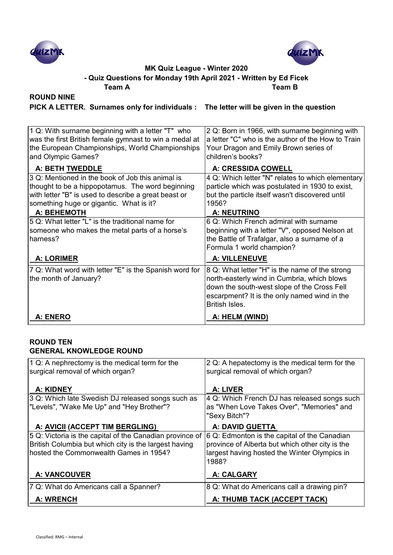



**- Quiz Questions for Monday 19th April 2021 - Written by Ed Ficek**

**Team A Team B**

## **ROUND NINE**

**PICK A LETTER. Surnames only for individuals : The letter will be given in the question**

| A: ENERO                                                                                                                                                                                                | A: HELM (WIND)                                                                                                                                                                                                 |
|---------------------------------------------------------------------------------------------------------------------------------------------------------------------------------------------------------|----------------------------------------------------------------------------------------------------------------------------------------------------------------------------------------------------------------|
| 7 Q: What word with letter "E" is the Spanish word for<br>the month of January?                                                                                                                         | 8 Q: What letter "H" is the name of the strong<br>north-easterly wind in Cumbria, which blows<br>down the south-west slope of the Cross Fell<br>escarpment? It is the only named wind in the<br>British Isles. |
| <b>A: LORIMER</b>                                                                                                                                                                                       | <b>A: VILLENEUVE</b>                                                                                                                                                                                           |
| 5 Q: What letter "L" is the traditional name for<br>someone who makes the metal parts of a horse's<br>harness?                                                                                          | 6 Q: Which French admiral with surname<br>beginning with a letter "V", opposed Nelson at<br>the Battle of Trafalgar, also a surname of a<br>Formula 1 world champion?                                          |
| A: BEHEMOTH                                                                                                                                                                                             | <b>A: NEUTRINO</b>                                                                                                                                                                                             |
| 3 Q: Mentioned in the book of Job this animal is<br>thought to be a hippopotamus. The word beginning<br>with letter "B" is used to describe a great beast or<br>something huge or gigantic. What is it? | 4 Q: Which letter "N" relates to which elementary<br>particle which was postulated in 1930 to exist,<br>but the particle itself wasn't discovered until<br>1956?                                               |
| A: BETH TWEDDLE                                                                                                                                                                                         | A: CRESSIDA COWELL                                                                                                                                                                                             |
| 1 Q: With surname beginning with a letter "T" who<br>was the first British female gymnast to win a medal at<br>the European Championships, World Championships<br>and Olympic Games?                    | 2 Q: Born in 1966, with surname beginning with<br>a letter "C" who is the author of the How to Train<br>Your Dragon and Emily Brown series of<br>children's books?                                             |

#### **ROUND TEN GENERAL KNOWLEDGE ROUND**

| 1 Q: A nephrectomy is the medical term for the<br>surgical removal of which organ?                                                                          | 2 Q: A hepatectomy is the medical term for the<br>surgical removal of which organ?                                                                       |
|-------------------------------------------------------------------------------------------------------------------------------------------------------------|----------------------------------------------------------------------------------------------------------------------------------------------------------|
| A: KIDNEY                                                                                                                                                   | A: LIVER                                                                                                                                                 |
| 3 Q: Which late Swedish DJ released songs such as<br>"Levels", "Wake Me Up" and "Hey Brother"?                                                              | 4 Q: Which French DJ has released songs such<br>as "When Love Takes Over", "Memories" and<br>"Sexy Bitch"?                                               |
| A: AVICII (ACCEPT TIM BERGLING)                                                                                                                             | <b>A: DAVID GUETTA</b>                                                                                                                                   |
| 5 Q: Victoria is the capital of the Canadian province of<br>British Columbia but which city is the largest having<br>hosted the Commonwealth Games in 1954? | 6 Q: Edmonton is the capital of the Canadian<br>province of Alberta but which other city is the<br>largest having hosted the Winter Olympics in<br>1988? |
| <b>A: VANCOUVER</b>                                                                                                                                         | A: CALGARY                                                                                                                                               |
| 7 Q: What do Americans call a Spanner?                                                                                                                      | 8 Q: What do Americans call a drawing pin?                                                                                                               |
| <b>A: WRENCH</b>                                                                                                                                            | A: THUMB TACK (ACCEPT TACK)                                                                                                                              |